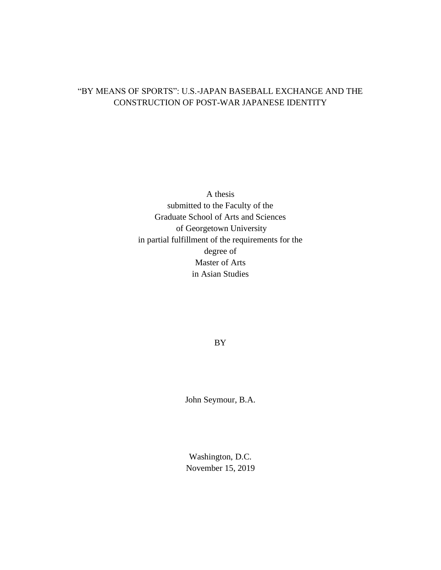# "BY MEANS OF SPORTS": U.S.-JAPAN BASEBALL EXCHANGE AND THE CONSTRUCTION OF POST-WAR JAPANESE IDENTITY

A thesis submitted to the Faculty of the Graduate School of Arts and Sciences of Georgetown University in partial fulfillment of the requirements for the degree of Master of Arts in Asian Studies

BY

John Seymour, B.A.

Washington, D.C. November 15, 2019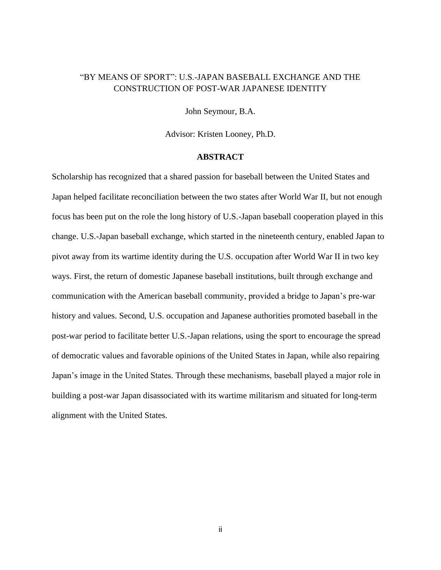## "BY MEANS OF SPORT": U.S.-JAPAN BASEBALL EXCHANGE AND THE CONSTRUCTION OF POST-WAR JAPANESE IDENTITY

John Seymour, B.A.

Advisor: Kristen Looney, Ph.D.

### **ABSTRACT**

Scholarship has recognized that a shared passion for baseball between the United States and Japan helped facilitate reconciliation between the two states after World War II, but not enough focus has been put on the role the long history of U.S.-Japan baseball cooperation played in this change. U.S.-Japan baseball exchange, which started in the nineteenth century, enabled Japan to pivot away from its wartime identity during the U.S. occupation after World War II in two key ways. First, the return of domestic Japanese baseball institutions, built through exchange and communication with the American baseball community, provided a bridge to Japan's pre-war history and values. Second, U.S. occupation and Japanese authorities promoted baseball in the post-war period to facilitate better U.S.-Japan relations, using the sport to encourage the spread of democratic values and favorable opinions of the United States in Japan, while also repairing Japan's image in the United States. Through these mechanisms, baseball played a major role in building a post-war Japan disassociated with its wartime militarism and situated for long-term alignment with the United States.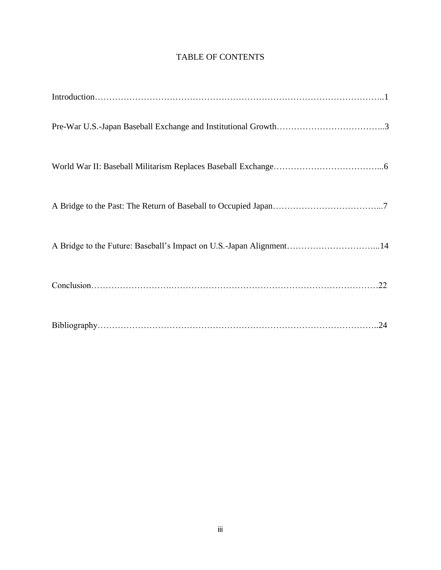## TABLE OF CONTENTS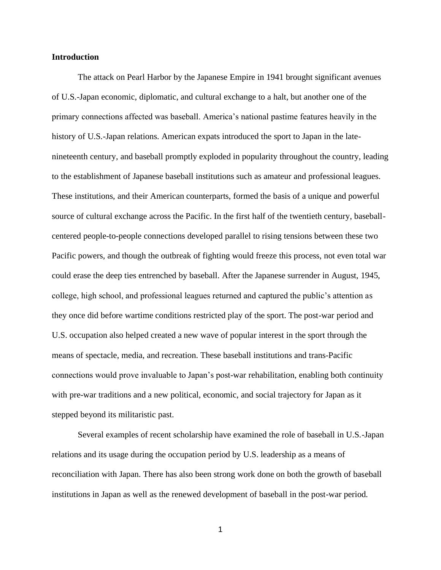## **Introduction**

The attack on Pearl Harbor by the Japanese Empire in 1941 brought significant avenues of U.S.-Japan economic, diplomatic, and cultural exchange to a halt, but another one of the primary connections affected was baseball. America's national pastime features heavily in the history of U.S.-Japan relations. American expats introduced the sport to Japan in the latenineteenth century, and baseball promptly exploded in popularity throughout the country, leading to the establishment of Japanese baseball institutions such as amateur and professional leagues. These institutions, and their American counterparts, formed the basis of a unique and powerful source of cultural exchange across the Pacific. In the first half of the twentieth century, baseballcentered people-to-people connections developed parallel to rising tensions between these two Pacific powers, and though the outbreak of fighting would freeze this process, not even total war could erase the deep ties entrenched by baseball. After the Japanese surrender in August, 1945, college, high school, and professional leagues returned and captured the public's attention as they once did before wartime conditions restricted play of the sport. The post-war period and U.S. occupation also helped created a new wave of popular interest in the sport through the means of spectacle, media, and recreation. These baseball institutions and trans-Pacific connections would prove invaluable to Japan's post-war rehabilitation, enabling both continuity with pre-war traditions and a new political, economic, and social trajectory for Japan as it stepped beyond its militaristic past.

Several examples of recent scholarship have examined the role of baseball in U.S.-Japan relations and its usage during the occupation period by U.S. leadership as a means of reconciliation with Japan. There has also been strong work done on both the growth of baseball institutions in Japan as well as the renewed development of baseball in the post-war period.

1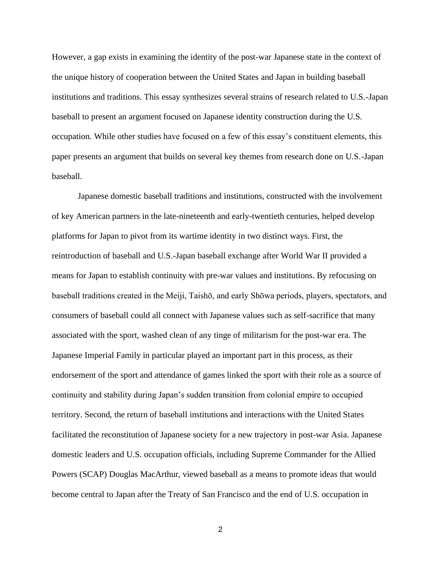However, a gap exists in examining the identity of the post-war Japanese state in the context of the unique history of cooperation between the United States and Japan in building baseball institutions and traditions. This essay synthesizes several strains of research related to U.S.-Japan baseball to present an argument focused on Japanese identity construction during the U.S. occupation. While other studies have focused on a few of this essay's constituent elements, this paper presents an argument that builds on several key themes from research done on U.S.-Japan baseball.

Japanese domestic baseball traditions and institutions, constructed with the involvement of key American partners in the late-nineteenth and early-twentieth centuries, helped develop platforms for Japan to pivot from its wartime identity in two distinct ways. First, the reintroduction of baseball and U.S.-Japan baseball exchange after World War II provided a means for Japan to establish continuity with pre-war values and institutions. By refocusing on baseball traditions created in the Meiji, Taishō, and early Shōwa periods, players, spectators, and consumers of baseball could all connect with Japanese values such as self-sacrifice that many associated with the sport, washed clean of any tinge of militarism for the post-war era. The Japanese Imperial Family in particular played an important part in this process, as their endorsement of the sport and attendance of games linked the sport with their role as a source of continuity and stability during Japan's sudden transition from colonial empire to occupied territory. Second, the return of baseball institutions and interactions with the United States facilitated the reconstitution of Japanese society for a new trajectory in post-war Asia. Japanese domestic leaders and U.S. occupation officials, including Supreme Commander for the Allied Powers (SCAP) Douglas MacArthur, viewed baseball as a means to promote ideas that would become central to Japan after the Treaty of San Francisco and the end of U.S. occupation in

2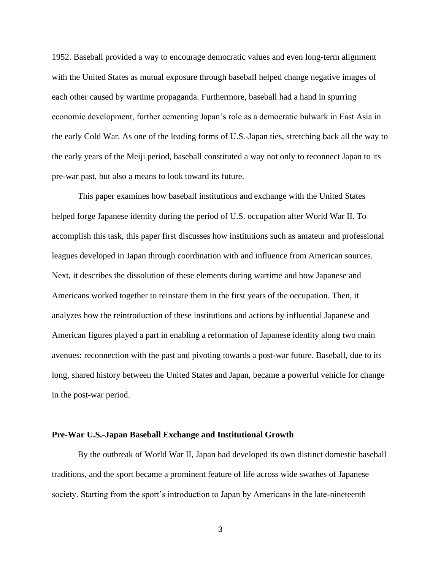1952. Baseball provided a way to encourage democratic values and even long-term alignment with the United States as mutual exposure through baseball helped change negative images of each other caused by wartime propaganda. Furthermore, baseball had a hand in spurring economic development, further cementing Japan's role as a democratic bulwark in East Asia in the early Cold War. As one of the leading forms of U.S.-Japan ties, stretching back all the way to the early years of the Meiji period, baseball constituted a way not only to reconnect Japan to its pre-war past, but also a means to look toward its future.

This paper examines how baseball institutions and exchange with the United States helped forge Japanese identity during the period of U.S. occupation after World War II. To accomplish this task, this paper first discusses how institutions such as amateur and professional leagues developed in Japan through coordination with and influence from American sources. Next, it describes the dissolution of these elements during wartime and how Japanese and Americans worked together to reinstate them in the first years of the occupation. Then, it analyzes how the reintroduction of these institutions and actions by influential Japanese and American figures played a part in enabling a reformation of Japanese identity along two main avenues: reconnection with the past and pivoting towards a post-war future. Baseball, due to its long, shared history between the United States and Japan, became a powerful vehicle for change in the post-war period.

#### **Pre-War U.S.-Japan Baseball Exchange and Institutional Growth**

By the outbreak of World War II, Japan had developed its own distinct domestic baseball traditions, and the sport became a prominent feature of life across wide swathes of Japanese society. Starting from the sport's introduction to Japan by Americans in the late-nineteenth

3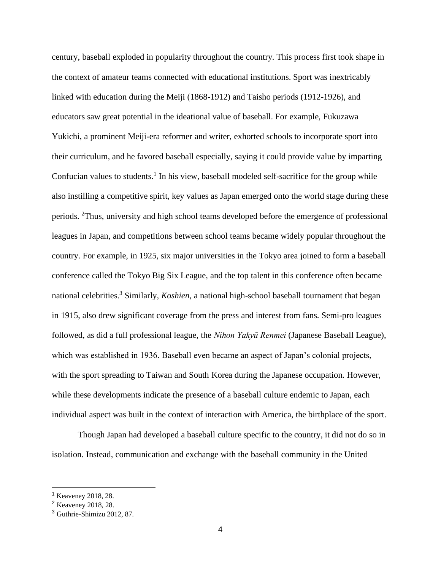century, baseball exploded in popularity throughout the country. This process first took shape in the context of amateur teams connected with educational institutions. Sport was inextricably linked with education during the Meiji (1868-1912) and Taisho periods (1912-1926), and educators saw great potential in the ideational value of baseball. For example, Fukuzawa Yukichi, a prominent Meiji-era reformer and writer, exhorted schools to incorporate sport into their curriculum, and he favored baseball especially, saying it could provide value by imparting Confucian values to students.<sup>1</sup> In his view, baseball modeled self-sacrifice for the group while also instilling a competitive spirit, key values as Japan emerged onto the world stage during these periods. <sup>2</sup>Thus, university and high school teams developed before the emergence of professional leagues in Japan, and competitions between school teams became widely popular throughout the country. For example, in 1925, six major universities in the Tokyo area joined to form a baseball conference called the Tokyo Big Six League, and the top talent in this conference often became national celebrities.<sup>3</sup> Similarly, *Koshien*, a national high-school baseball tournament that began in 1915, also drew significant coverage from the press and interest from fans. Semi-pro leagues followed, as did a full professional league, the *Nihon Yakyū Renmei* (Japanese Baseball League), which was established in 1936. Baseball even became an aspect of Japan's colonial projects, with the sport spreading to Taiwan and South Korea during the Japanese occupation. However, while these developments indicate the presence of a baseball culture endemic to Japan, each individual aspect was built in the context of interaction with America, the birthplace of the sport.

Though Japan had developed a baseball culture specific to the country, it did not do so in isolation. Instead, communication and exchange with the baseball community in the United

<sup>1</sup> Keaveney 2018, 28.

<sup>2</sup> Keaveney 2018, 28.

<sup>3</sup> Guthrie-Shimizu 2012, 87.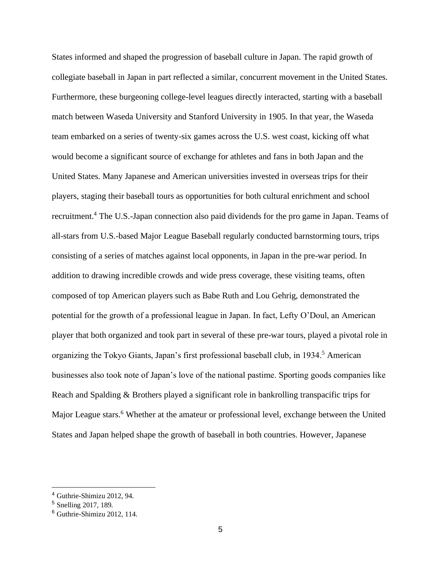States informed and shaped the progression of baseball culture in Japan. The rapid growth of collegiate baseball in Japan in part reflected a similar, concurrent movement in the United States. Furthermore, these burgeoning college-level leagues directly interacted, starting with a baseball match between Waseda University and Stanford University in 1905. In that year, the Waseda team embarked on a series of twenty-six games across the U.S. west coast, kicking off what would become a significant source of exchange for athletes and fans in both Japan and the United States. Many Japanese and American universities invested in overseas trips for their players, staging their baseball tours as opportunities for both cultural enrichment and school recruitment.<sup>4</sup> The U.S.-Japan connection also paid dividends for the pro game in Japan. Teams of all-stars from U.S.-based Major League Baseball regularly conducted barnstorming tours, trips consisting of a series of matches against local opponents, in Japan in the pre-war period. In addition to drawing incredible crowds and wide press coverage, these visiting teams, often composed of top American players such as Babe Ruth and Lou Gehrig, demonstrated the potential for the growth of a professional league in Japan. In fact, Lefty O'Doul, an American player that both organized and took part in several of these pre-war tours, played a pivotal role in organizing the Tokyo Giants, Japan's first professional baseball club, in 1934.<sup>5</sup> American businesses also took note of Japan's love of the national pastime. Sporting goods companies like Reach and Spalding & Brothers played a significant role in bankrolling transpacific trips for Major League stars.<sup>6</sup> Whether at the amateur or professional level, exchange between the United States and Japan helped shape the growth of baseball in both countries. However, Japanese

<sup>4</sup> Guthrie-Shimizu 2012, 94.

<sup>5</sup> Snelling 2017, 189.

<sup>6</sup> Guthrie-Shimizu 2012, 114.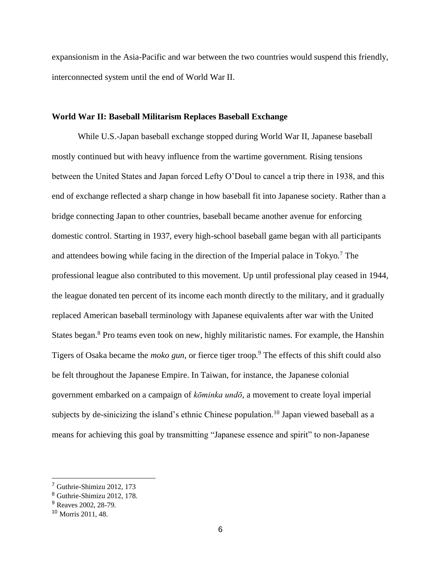expansionism in the Asia-Pacific and war between the two countries would suspend this friendly, interconnected system until the end of World War II.

## **World War II: Baseball Militarism Replaces Baseball Exchange**

While U.S.-Japan baseball exchange stopped during World War II, Japanese baseball mostly continued but with heavy influence from the wartime government. Rising tensions between the United States and Japan forced Lefty O'Doul to cancel a trip there in 1938, and this end of exchange reflected a sharp change in how baseball fit into Japanese society. Rather than a bridge connecting Japan to other countries, baseball became another avenue for enforcing domestic control. Starting in 1937, every high-school baseball game began with all participants and attendees bowing while facing in the direction of the Imperial palace in Tokyo.<sup>7</sup> The professional league also contributed to this movement. Up until professional play ceased in 1944, the league donated ten percent of its income each month directly to the military, and it gradually replaced American baseball terminology with Japanese equivalents after war with the United States began.<sup>8</sup> Pro teams even took on new, highly militaristic names. For example, the Hanshin Tigers of Osaka became the *moko gun*, or fierce tiger troop.<sup>9</sup> The effects of this shift could also be felt throughout the Japanese Empire. In Taiwan, for instance, the Japanese colonial government embarked on a campaign of *kōminka undō*, a movement to create loyal imperial subjects by de-sinicizing the island's ethnic Chinese population.<sup>10</sup> Japan viewed baseball as a means for achieving this goal by transmitting "Japanese essence and spirit" to non-Japanese

<sup>7</sup> Guthrie-Shimizu 2012, 173

<sup>8</sup> Guthrie-Shimizu 2012, 178.

<sup>&</sup>lt;sup>9</sup> Reaves 2002, 28-79.

<sup>10</sup> Morris 2011, 48.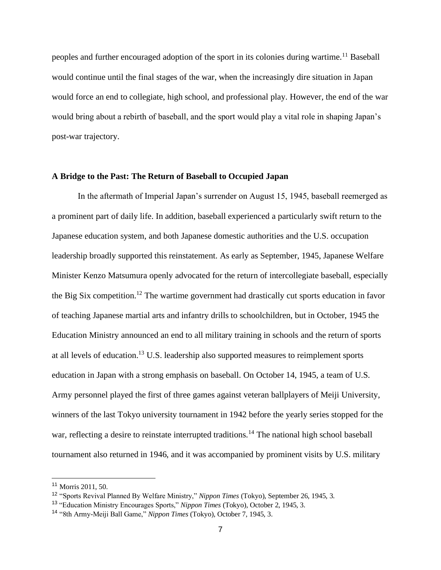peoples and further encouraged adoption of the sport in its colonies during wartime.<sup>11</sup> Baseball would continue until the final stages of the war, when the increasingly dire situation in Japan would force an end to collegiate, high school, and professional play. However, the end of the war would bring about a rebirth of baseball, and the sport would play a vital role in shaping Japan's post-war trajectory.

## **A Bridge to the Past: The Return of Baseball to Occupied Japan**

In the aftermath of Imperial Japan's surrender on August 15, 1945, baseball reemerged as a prominent part of daily life. In addition, baseball experienced a particularly swift return to the Japanese education system, and both Japanese domestic authorities and the U.S. occupation leadership broadly supported this reinstatement. As early as September, 1945, Japanese Welfare Minister Kenzo Matsumura openly advocated for the return of intercollegiate baseball, especially the Big Six competition.<sup>12</sup> The wartime government had drastically cut sports education in favor of teaching Japanese martial arts and infantry drills to schoolchildren, but in October, 1945 the Education Ministry announced an end to all military training in schools and the return of sports at all levels of education.<sup>13</sup> U.S. leadership also supported measures to reimplement sports education in Japan with a strong emphasis on baseball. On October 14, 1945, a team of U.S. Army personnel played the first of three games against veteran ballplayers of Meiji University, winners of the last Tokyo university tournament in 1942 before the yearly series stopped for the war, reflecting a desire to reinstate interrupted traditions.<sup>14</sup> The national high school baseball tournament also returned in 1946, and it was accompanied by prominent visits by U.S. military

<sup>11</sup> Morris 2011, 50.

<sup>12</sup> "Sports Revival Planned By Welfare Ministry," *Nippon Times* (Tokyo), September 26, 1945, 3.

<sup>13</sup> "Education Ministry Encourages Sports," *Nippon Times* (Tokyo), October 2, 1945, 3.

<sup>14</sup> "8th Army-Meiji Ball Game," *Nippon Times* (Tokyo), October 7, 1945, 3.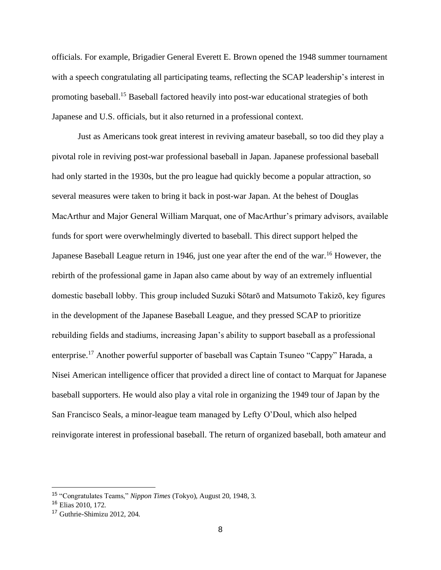officials. For example, Brigadier General Everett E. Brown opened the 1948 summer tournament with a speech congratulating all participating teams, reflecting the SCAP leadership's interest in promoting baseball.<sup>15</sup> Baseball factored heavily into post-war educational strategies of both Japanese and U.S. officials, but it also returned in a professional context.

Just as Americans took great interest in reviving amateur baseball, so too did they play a pivotal role in reviving post-war professional baseball in Japan. Japanese professional baseball had only started in the 1930s, but the pro league had quickly become a popular attraction, so several measures were taken to bring it back in post-war Japan. At the behest of Douglas MacArthur and Major General William Marquat, one of MacArthur's primary advisors, available funds for sport were overwhelmingly diverted to baseball. This direct support helped the Japanese Baseball League return in 1946, just one year after the end of the war.<sup>16</sup> However, the rebirth of the professional game in Japan also came about by way of an extremely influential domestic baseball lobby. This group included Suzuki Sōtarō and Matsumoto Takizō, key figures in the development of the Japanese Baseball League, and they pressed SCAP to prioritize rebuilding fields and stadiums, increasing Japan's ability to support baseball as a professional enterprise.<sup>17</sup> Another powerful supporter of baseball was Captain Tsuneo "Cappy" Harada, a Nisei American intelligence officer that provided a direct line of contact to Marquat for Japanese baseball supporters. He would also play a vital role in organizing the 1949 tour of Japan by the San Francisco Seals, a minor-league team managed by Lefty O'Doul, which also helped reinvigorate interest in professional baseball. The return of organized baseball, both amateur and

<sup>15</sup> "Congratulates Teams," *Nippon Times* (Tokyo), August 20, 1948, 3.

<sup>16</sup> Elias 2010, 172.

<sup>17</sup> Guthrie-Shimizu 2012, 204.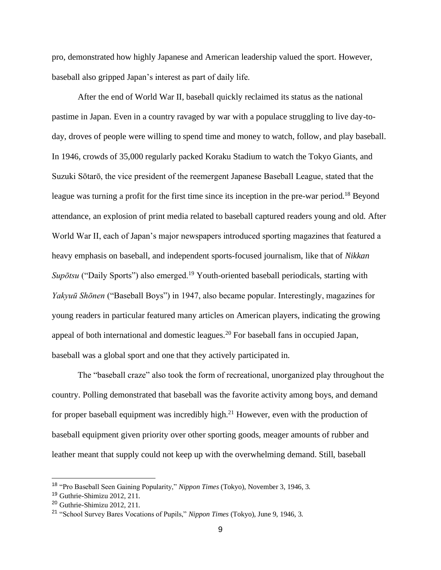pro, demonstrated how highly Japanese and American leadership valued the sport. However, baseball also gripped Japan's interest as part of daily life.

After the end of World War II, baseball quickly reclaimed its status as the national pastime in Japan. Even in a country ravaged by war with a populace struggling to live day-today, droves of people were willing to spend time and money to watch, follow, and play baseball. In 1946, crowds of 35,000 regularly packed Koraku Stadium to watch the Tokyo Giants, and Suzuki Sōtarō, the vice president of the reemergent Japanese Baseball League, stated that the league was turning a profit for the first time since its inception in the pre-war period.<sup>18</sup> Beyond attendance, an explosion of print media related to baseball captured readers young and old. After World War II, each of Japan's major newspapers introduced sporting magazines that featured a heavy emphasis on baseball, and independent sports-focused journalism, like that of *Nikkan Supōtsu* ("Daily Sports") also emerged.<sup>19</sup> Youth-oriented baseball periodicals, starting with *Yakyuū Shōnen* ("Baseball Boys") in 1947, also became popular. Interestingly, magazines for young readers in particular featured many articles on American players, indicating the growing appeal of both international and domestic leagues.<sup>20</sup> For baseball fans in occupied Japan, baseball was a global sport and one that they actively participated in.

The "baseball craze" also took the form of recreational, unorganized play throughout the country. Polling demonstrated that baseball was the favorite activity among boys, and demand for proper baseball equipment was incredibly high.<sup>21</sup> However, even with the production of baseball equipment given priority over other sporting goods, meager amounts of rubber and leather meant that supply could not keep up with the overwhelming demand. Still, baseball

<sup>18</sup> "Pro Baseball Seen Gaining Popularity," *Nippon Times* (Tokyo), November 3, 1946, 3.

<sup>19</sup> Guthrie-Shimizu 2012, 211.

<sup>20</sup> Guthrie-Shimizu 2012, 211.

<sup>21</sup> "School Survey Bares Vocations of Pupils," *Nippon Times* (Tokyo), June 9, 1946, 3.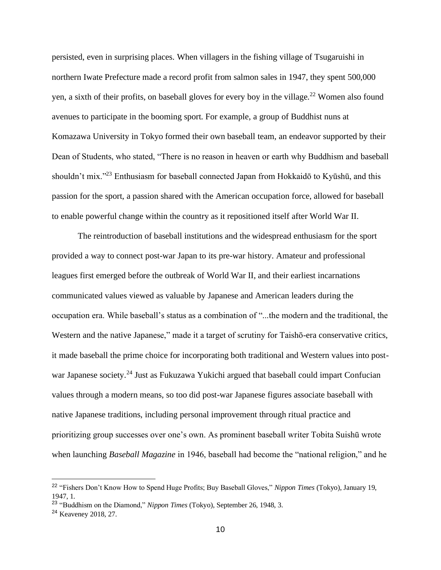persisted, even in surprising places. When villagers in the fishing village of Tsugaruishi in northern Iwate Prefecture made a record profit from salmon sales in 1947, they spent 500,000 yen, a sixth of their profits, on baseball gloves for every boy in the village.<sup>22</sup> Women also found avenues to participate in the booming sport. For example, a group of Buddhist nuns at Komazawa University in Tokyo formed their own baseball team, an endeavor supported by their Dean of Students, who stated, "There is no reason in heaven or earth why Buddhism and baseball shouldn't mix."<sup>23</sup> Enthusiasm for baseball connected Japan from Hokkaidō to Kyūshū, and this passion for the sport, a passion shared with the American occupation force, allowed for baseball to enable powerful change within the country as it repositioned itself after World War II.

The reintroduction of baseball institutions and the widespread enthusiasm for the sport provided a way to connect post-war Japan to its pre-war history. Amateur and professional leagues first emerged before the outbreak of World War II, and their earliest incarnations communicated values viewed as valuable by Japanese and American leaders during the occupation era. While baseball's status as a combination of "...the modern and the traditional, the Western and the native Japanese," made it a target of scrutiny for Taishō-era conservative critics, it made baseball the prime choice for incorporating both traditional and Western values into postwar Japanese society.<sup>24</sup> Just as Fukuzawa Yukichi argued that baseball could impart Confucian values through a modern means, so too did post-war Japanese figures associate baseball with native Japanese traditions, including personal improvement through ritual practice and prioritizing group successes over one's own. As prominent baseball writer Tobita Suishū wrote when launching *Baseball Magazine* in 1946, baseball had become the "national religion," and he

<sup>22</sup> "Fishers Don't Know How to Spend Huge Profits; Buy Baseball Gloves," *Nippon Times* (Tokyo), January 19, 1947, 1.

<sup>23</sup> "Buddhism on the Diamond," *Nippon Times* (Tokyo), September 26, 1948, 3.

<sup>24</sup> Keaveney 2018, 27.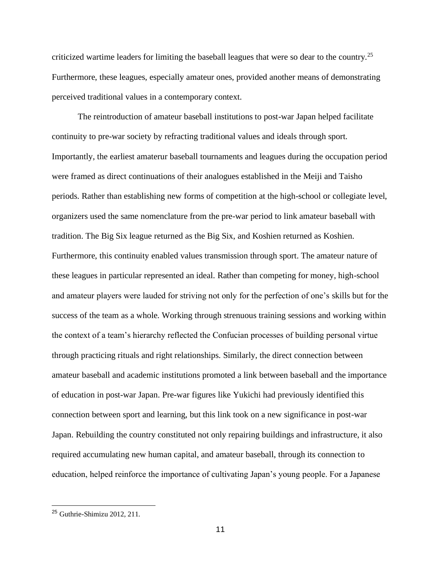criticized wartime leaders for limiting the baseball leagues that were so dear to the country.<sup>25</sup> Furthermore, these leagues, especially amateur ones, provided another means of demonstrating perceived traditional values in a contemporary context.

The reintroduction of amateur baseball institutions to post-war Japan helped facilitate continuity to pre-war society by refracting traditional values and ideals through sport. Importantly, the earliest amaterur baseball tournaments and leagues during the occupation period were framed as direct continuations of their analogues established in the Meiji and Taisho periods. Rather than establishing new forms of competition at the high-school or collegiate level, organizers used the same nomenclature from the pre-war period to link amateur baseball with tradition. The Big Six league returned as the Big Six, and Koshien returned as Koshien. Furthermore, this continuity enabled values transmission through sport. The amateur nature of these leagues in particular represented an ideal. Rather than competing for money, high-school and amateur players were lauded for striving not only for the perfection of one's skills but for the success of the team as a whole. Working through strenuous training sessions and working within the context of a team's hierarchy reflected the Confucian processes of building personal virtue through practicing rituals and right relationships. Similarly, the direct connection between amateur baseball and academic institutions promoted a link between baseball and the importance of education in post-war Japan. Pre-war figures like Yukichi had previously identified this connection between sport and learning, but this link took on a new significance in post-war Japan. Rebuilding the country constituted not only repairing buildings and infrastructure, it also required accumulating new human capital, and amateur baseball, through its connection to education, helped reinforce the importance of cultivating Japan's young people. For a Japanese

<sup>25</sup> Guthrie-Shimizu 2012, 211.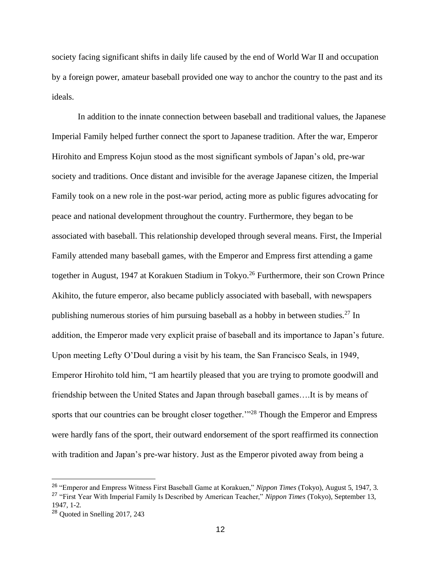society facing significant shifts in daily life caused by the end of World War II and occupation by a foreign power, amateur baseball provided one way to anchor the country to the past and its ideals.

In addition to the innate connection between baseball and traditional values, the Japanese Imperial Family helped further connect the sport to Japanese tradition. After the war, Emperor Hirohito and Empress Kojun stood as the most significant symbols of Japan's old, pre-war society and traditions. Once distant and invisible for the average Japanese citizen, the Imperial Family took on a new role in the post-war period, acting more as public figures advocating for peace and national development throughout the country. Furthermore, they began to be associated with baseball. This relationship developed through several means. First, the Imperial Family attended many baseball games, with the Emperor and Empress first attending a game together in August, 1947 at Korakuen Stadium in Tokyo.<sup>26</sup> Furthermore, their son Crown Prince Akihito, the future emperor, also became publicly associated with baseball, with newspapers publishing numerous stories of him pursuing baseball as a hobby in between studies.<sup>27</sup> In addition, the Emperor made very explicit praise of baseball and its importance to Japan's future. Upon meeting Lefty O'Doul during a visit by his team, the San Francisco Seals, in 1949, Emperor Hirohito told him, "I am heartily pleased that you are trying to promote goodwill and friendship between the United States and Japan through baseball games….It is by means of sports that our countries can be brought closer together."<sup>28</sup> Though the Emperor and Empress were hardly fans of the sport, their outward endorsement of the sport reaffirmed its connection with tradition and Japan's pre-war history. Just as the Emperor pivoted away from being a

<sup>26</sup> "Emperor and Empress Witness First Baseball Game at Korakuen," *Nippon Times* (Tokyo), August 5, 1947, 3. <sup>27</sup> "First Year With Imperial Family Is Described by American Teacher," *Nippon Times* (Tokyo), September 13, 1947, 1-2.

<sup>28</sup> Quoted in Snelling 2017, 243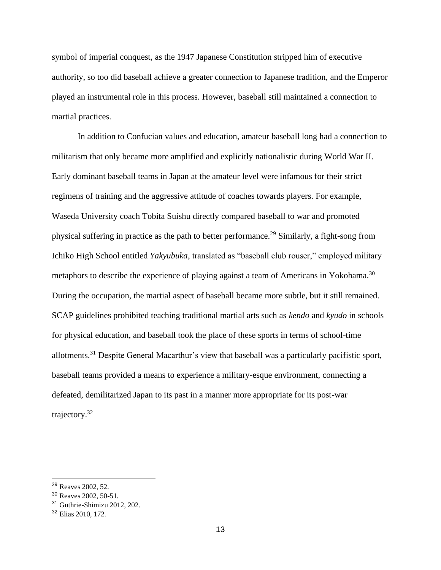symbol of imperial conquest, as the 1947 Japanese Constitution stripped him of executive authority, so too did baseball achieve a greater connection to Japanese tradition, and the Emperor played an instrumental role in this process. However, baseball still maintained a connection to martial practices.

In addition to Confucian values and education, amateur baseball long had a connection to militarism that only became more amplified and explicitly nationalistic during World War II. Early dominant baseball teams in Japan at the amateur level were infamous for their strict regimens of training and the aggressive attitude of coaches towards players. For example, Waseda University coach Tobita Suishu directly compared baseball to war and promoted physical suffering in practice as the path to better performance.<sup>29</sup> Similarly, a fight-song from Ichiko High School entitled *Yakyubuka*, translated as "baseball club rouser," employed military metaphors to describe the experience of playing against a team of Americans in Yokohama.<sup>30</sup> During the occupation, the martial aspect of baseball became more subtle, but it still remained. SCAP guidelines prohibited teaching traditional martial arts such as *kendo* and *kyudo* in schools for physical education, and baseball took the place of these sports in terms of school-time allotments.<sup>31</sup> Despite General Macarthur's view that baseball was a particularly pacifistic sport, baseball teams provided a means to experience a military-esque environment, connecting a defeated, demilitarized Japan to its past in a manner more appropriate for its post-war trajectory.<sup>32</sup>

<sup>29</sup> Reaves 2002, 52.

<sup>30</sup> Reaves 2002, 50-51.

<sup>31</sup> Guthrie-Shimizu 2012, 202.

<sup>32</sup> Elias 2010, 172.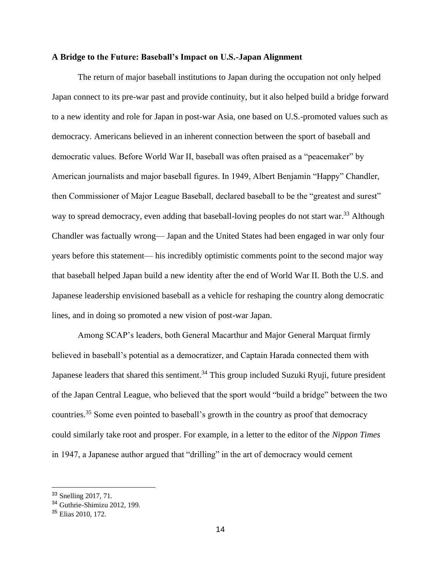## **A Bridge to the Future: Baseball's Impact on U.S.-Japan Alignment**

The return of major baseball institutions to Japan during the occupation not only helped Japan connect to its pre-war past and provide continuity, but it also helped build a bridge forward to a new identity and role for Japan in post-war Asia, one based on U.S.-promoted values such as democracy. Americans believed in an inherent connection between the sport of baseball and democratic values. Before World War II, baseball was often praised as a "peacemaker" by American journalists and major baseball figures. In 1949, Albert Benjamin "Happy" Chandler, then Commissioner of Major League Baseball, declared baseball to be the "greatest and surest" way to spread democracy, even adding that baseball-loving peoples do not start war.<sup>33</sup> Although Chandler was factually wrong— Japan and the United States had been engaged in war only four years before this statement— his incredibly optimistic comments point to the second major way that baseball helped Japan build a new identity after the end of World War II. Both the U.S. and Japanese leadership envisioned baseball as a vehicle for reshaping the country along democratic lines, and in doing so promoted a new vision of post-war Japan.

Among SCAP's leaders, both General Macarthur and Major General Marquat firmly believed in baseball's potential as a democratizer, and Captain Harada connected them with Japanese leaders that shared this sentiment.<sup>34</sup> This group included Suzuki Ryuji, future president of the Japan Central League, who believed that the sport would "build a bridge" between the two countries.<sup>35</sup> Some even pointed to baseball's growth in the country as proof that democracy could similarly take root and prosper. For example, in a letter to the editor of the *Nippon Times* in 1947, a Japanese author argued that "drilling" in the art of democracy would cement

<sup>33</sup> Snelling 2017, 71.

<sup>34</sup> Guthrie-Shimizu 2012, 199.

<sup>35</sup> Elias 2010, 172.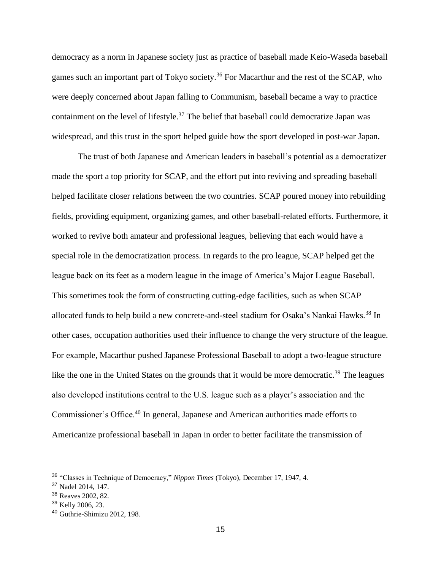democracy as a norm in Japanese society just as practice of baseball made Keio-Waseda baseball games such an important part of Tokyo society.<sup>36</sup> For Macarthur and the rest of the SCAP, who were deeply concerned about Japan falling to Communism, baseball became a way to practice containment on the level of lifestyle.<sup>37</sup> The belief that baseball could democratize Japan was widespread, and this trust in the sport helped guide how the sport developed in post-war Japan.

The trust of both Japanese and American leaders in baseball's potential as a democratizer made the sport a top priority for SCAP, and the effort put into reviving and spreading baseball helped facilitate closer relations between the two countries. SCAP poured money into rebuilding fields, providing equipment, organizing games, and other baseball-related efforts. Furthermore, it worked to revive both amateur and professional leagues, believing that each would have a special role in the democratization process. In regards to the pro league, SCAP helped get the league back on its feet as a modern league in the image of America's Major League Baseball. This sometimes took the form of constructing cutting-edge facilities, such as when SCAP allocated funds to help build a new concrete-and-steel stadium for Osaka's Nankai Hawks.<sup>38</sup> In other cases, occupation authorities used their influence to change the very structure of the league. For example, Macarthur pushed Japanese Professional Baseball to adopt a two-league structure like the one in the United States on the grounds that it would be more democratic.<sup>39</sup> The leagues also developed institutions central to the U.S. league such as a player's association and the Commissioner's Office.<sup>40</sup> In general, Japanese and American authorities made efforts to Americanize professional baseball in Japan in order to better facilitate the transmission of

<sup>36</sup> "Classes in Technique of Democracy," *Nippon Times* (Tokyo), December 17, 1947, 4.

<sup>37</sup> Nadel 2014, 147.

<sup>38</sup> Reaves 2002, 82.

<sup>39</sup> Kelly 2006, 23.

<sup>40</sup> Guthrie-Shimizu 2012, 198.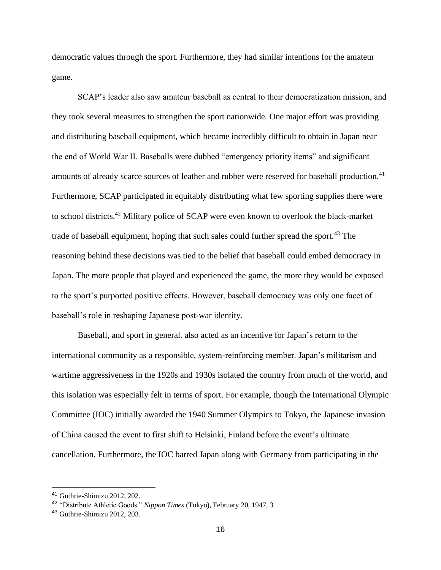democratic values through the sport. Furthermore, they had similar intentions for the amateur game.

SCAP's leader also saw amateur baseball as central to their democratization mission, and they took several measures to strengthen the sport nationwide. One major effort was providing and distributing baseball equipment, which became incredibly difficult to obtain in Japan near the end of World War II. Baseballs were dubbed "emergency priority items" and significant amounts of already scarce sources of leather and rubber were reserved for baseball production.<sup>41</sup> Furthermore, SCAP participated in equitably distributing what few sporting supplies there were to school districts.<sup>42</sup> Military police of SCAP were even known to overlook the black-market trade of baseball equipment, hoping that such sales could further spread the sport.<sup>43</sup> The reasoning behind these decisions was tied to the belief that baseball could embed democracy in Japan. The more people that played and experienced the game, the more they would be exposed to the sport's purported positive effects. However, baseball democracy was only one facet of baseball's role in reshaping Japanese post-war identity.

Baseball, and sport in general. also acted as an incentive for Japan's return to the international community as a responsible, system-reinforcing member. Japan's militarism and wartime aggressiveness in the 1920s and 1930s isolated the country from much of the world, and this isolation was especially felt in terms of sport. For example, though the International Olympic Committee (IOC) initially awarded the 1940 Summer Olympics to Tokyo, the Japanese invasion of China caused the event to first shift to Helsinki, Finland before the event's ultimate cancellation. Furthermore, the IOC barred Japan along with Germany from participating in the

<sup>41</sup> Guthrie-Shimizu 2012, 202.

<sup>42</sup> "Distribute Athletic Goods." *Nippon Times* (Tokyo), February 20, 1947, 3.

<sup>43</sup> Guthrie-Shimizu 2012, 203.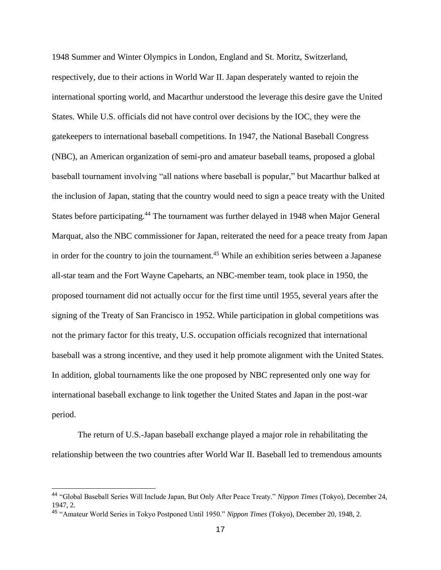1948 Summer and Winter Olympics in London, England and St. Moritz, Switzerland, respectively, due to their actions in World War II. Japan desperately wanted to rejoin the international sporting world, and Macarthur understood the leverage this desire gave the United States. While U.S. officials did not have control over decisions by the IOC, they were the gatekeepers to international baseball competitions. In 1947, the National Baseball Congress (NBC), an American organization of semi-pro and amateur baseball teams, proposed a global baseball tournament involving "all nations where baseball is popular," but Macarthur balked at the inclusion of Japan, stating that the country would need to sign a peace treaty with the United States before participating.<sup>44</sup> The tournament was further delayed in 1948 when Major General Marquat, also the NBC commissioner for Japan, reiterated the need for a peace treaty from Japan in order for the country to join the tournament.<sup>45</sup> While an exhibition series between a Japanese all-star team and the Fort Wayne Capeharts, an NBC-member team, took place in 1950, the proposed tournament did not actually occur for the first time until 1955, several years after the signing of the Treaty of San Francisco in 1952. While participation in global competitions was not the primary factor for this treaty, U.S. occupation officials recognized that international baseball was a strong incentive, and they used it help promote alignment with the United States. In addition, global tournaments like the one proposed by NBC represented only one way for international baseball exchange to link together the United States and Japan in the post-war period.

The return of U.S.-Japan baseball exchange played a major role in rehabilitating the relationship between the two countries after World War II. Baseball led to tremendous amounts

<sup>44</sup> "Global Baseball Series Will Include Japan, But Only After Peace Treaty." *Nippon Times* (Tokyo), December 24, 1947, 2.

<sup>45</sup> "Amateur World Series in Tokyo Postponed Until 1950." *Nippon Times* (Tokyo), December 20, 1948, 2.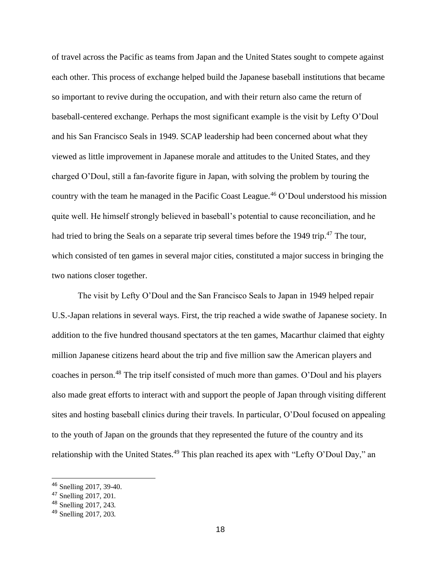of travel across the Pacific as teams from Japan and the United States sought to compete against each other. This process of exchange helped build the Japanese baseball institutions that became so important to revive during the occupation, and with their return also came the return of baseball-centered exchange. Perhaps the most significant example is the visit by Lefty O'Doul and his San Francisco Seals in 1949. SCAP leadership had been concerned about what they viewed as little improvement in Japanese morale and attitudes to the United States, and they charged O'Doul, still a fan-favorite figure in Japan, with solving the problem by touring the country with the team he managed in the Pacific Coast League.<sup>46</sup> O'Doul understood his mission quite well. He himself strongly believed in baseball's potential to cause reconciliation, and he had tried to bring the Seals on a separate trip several times before the 1949 trip.<sup>47</sup> The tour, which consisted of ten games in several major cities, constituted a major success in bringing the two nations closer together.

The visit by Lefty O'Doul and the San Francisco Seals to Japan in 1949 helped repair U.S.-Japan relations in several ways. First, the trip reached a wide swathe of Japanese society. In addition to the five hundred thousand spectators at the ten games, Macarthur claimed that eighty million Japanese citizens heard about the trip and five million saw the American players and coaches in person.<sup>48</sup> The trip itself consisted of much more than games. O'Doul and his players also made great efforts to interact with and support the people of Japan through visiting different sites and hosting baseball clinics during their travels. In particular, O'Doul focused on appealing to the youth of Japan on the grounds that they represented the future of the country and its relationship with the United States.<sup>49</sup> This plan reached its apex with "Lefty O'Doul Day," an

<sup>46</sup> Snelling 2017, 39-40.

<sup>47</sup> Snelling 2017, 201.

<sup>48</sup> Snelling 2017, 243.

<sup>49</sup> Snelling 2017, 203.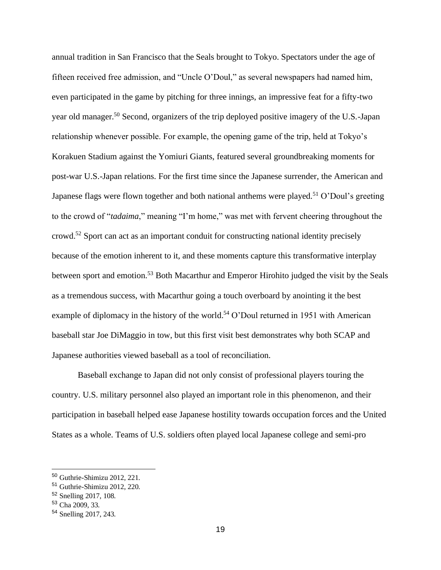annual tradition in San Francisco that the Seals brought to Tokyo. Spectators under the age of fifteen received free admission, and "Uncle O'Doul," as several newspapers had named him, even participated in the game by pitching for three innings, an impressive feat for a fifty-two year old manager.<sup>50</sup> Second, organizers of the trip deployed positive imagery of the U.S.-Japan relationship whenever possible. For example, the opening game of the trip, held at Tokyo's Korakuen Stadium against the Yomiuri Giants, featured several groundbreaking moments for post-war U.S.-Japan relations. For the first time since the Japanese surrender, the American and Japanese flags were flown together and both national anthems were played.<sup>51</sup> O'Doul's greeting to the crowd of "*tadaima*," meaning "I'm home," was met with fervent cheering throughout the crowd.<sup>52</sup> Sport can act as an important conduit for constructing national identity precisely because of the emotion inherent to it, and these moments capture this transformative interplay between sport and emotion.<sup>53</sup> Both Macarthur and Emperor Hirohito judged the visit by the Seals as a tremendous success, with Macarthur going a touch overboard by anointing it the best example of diplomacy in the history of the world.<sup>54</sup> O'Doul returned in 1951 with American baseball star Joe DiMaggio in tow, but this first visit best demonstrates why both SCAP and Japanese authorities viewed baseball as a tool of reconciliation.

Baseball exchange to Japan did not only consist of professional players touring the country. U.S. military personnel also played an important role in this phenomenon, and their participation in baseball helped ease Japanese hostility towards occupation forces and the United States as a whole. Teams of U.S. soldiers often played local Japanese college and semi-pro

<sup>50</sup> Guthrie-Shimizu 2012, 221.

<sup>51</sup> Guthrie-Shimizu 2012, 220.

<sup>52</sup> Snelling 2017, 108.

<sup>53</sup> Cha 2009, 33.

<sup>54</sup> Snelling 2017, 243.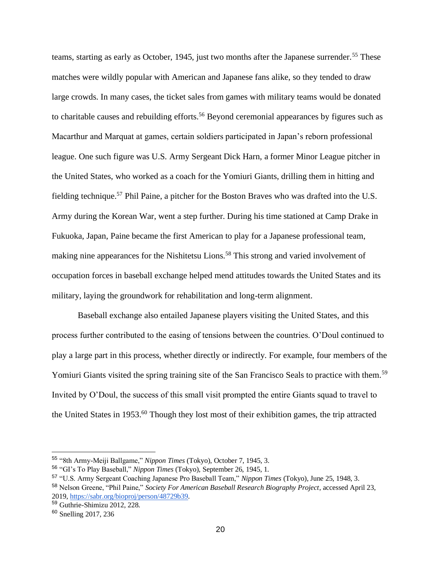teams, starting as early as October, 1945, just two months after the Japanese surrender.<sup>55</sup> These matches were wildly popular with American and Japanese fans alike, so they tended to draw large crowds. In many cases, the ticket sales from games with military teams would be donated to charitable causes and rebuilding efforts.<sup>56</sup> Beyond ceremonial appearances by figures such as Macarthur and Marquat at games, certain soldiers participated in Japan's reborn professional league. One such figure was U.S. Army Sergeant Dick Harn, a former Minor League pitcher in the United States, who worked as a coach for the Yomiuri Giants, drilling them in hitting and fielding technique.<sup>57</sup> Phil Paine, a pitcher for the Boston Braves who was drafted into the U.S. Army during the Korean War, went a step further. During his time stationed at Camp Drake in Fukuoka, Japan, Paine became the first American to play for a Japanese professional team, making nine appearances for the Nishitetsu Lions.<sup>58</sup> This strong and varied involvement of occupation forces in baseball exchange helped mend attitudes towards the United States and its military, laying the groundwork for rehabilitation and long-term alignment.

Baseball exchange also entailed Japanese players visiting the United States, and this process further contributed to the easing of tensions between the countries. O'Doul continued to play a large part in this process, whether directly or indirectly. For example, four members of the Yomiuri Giants visited the spring training site of the San Francisco Seals to practice with them.<sup>59</sup> Invited by O'Doul, the success of this small visit prompted the entire Giants squad to travel to the United States in 1953.<sup>60</sup> Though they lost most of their exhibition games, the trip attracted

<sup>55</sup> "8th Army-Meiji Ballgame," *Nippon Times* (Tokyo), October 7, 1945, 3.

<sup>56</sup> "GI's To Play Baseball," *Nippon Times* (Tokyo), September 26, 1945, 1.

<sup>57</sup> "U.S. Army Sergeant Coaching Japanese Pro Baseball Team," *Nippon Times* (Tokyo), June 25, 1948, 3.

<sup>58</sup> Nelson Greene, "Phil Paine," *Society For American Baseball Research Biography Project*, accessed April 23, 2019, [https://sabr.org/bioproj/person/48729b39.](https://sabr.org/bioproj/person/48729b39)

<sup>59</sup> Guthrie-Shimizu 2012, 228.

<sup>60</sup> Snelling 2017, 236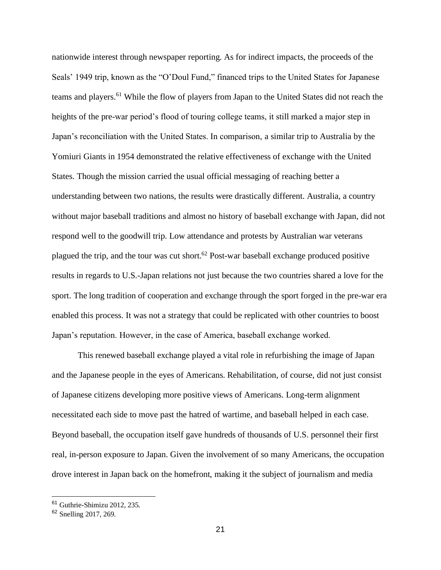nationwide interest through newspaper reporting. As for indirect impacts, the proceeds of the Seals' 1949 trip, known as the "O'Doul Fund," financed trips to the United States for Japanese teams and players.<sup>61</sup> While the flow of players from Japan to the United States did not reach the heights of the pre-war period's flood of touring college teams, it still marked a major step in Japan's reconciliation with the United States. In comparison, a similar trip to Australia by the Yomiuri Giants in 1954 demonstrated the relative effectiveness of exchange with the United States. Though the mission carried the usual official messaging of reaching better a understanding between two nations, the results were drastically different. Australia, a country without major baseball traditions and almost no history of baseball exchange with Japan, did not respond well to the goodwill trip. Low attendance and protests by Australian war veterans plagued the trip, and the tour was cut short.<sup>62</sup> Post-war baseball exchange produced positive results in regards to U.S.-Japan relations not just because the two countries shared a love for the sport. The long tradition of cooperation and exchange through the sport forged in the pre-war era enabled this process. It was not a strategy that could be replicated with other countries to boost Japan's reputation. However, in the case of America, baseball exchange worked.

This renewed baseball exchange played a vital role in refurbishing the image of Japan and the Japanese people in the eyes of Americans. Rehabilitation, of course, did not just consist of Japanese citizens developing more positive views of Americans. Long-term alignment necessitated each side to move past the hatred of wartime, and baseball helped in each case. Beyond baseball, the occupation itself gave hundreds of thousands of U.S. personnel their first real, in-person exposure to Japan. Given the involvement of so many Americans, the occupation drove interest in Japan back on the homefront, making it the subject of journalism and media

<sup>61</sup> Guthrie-Shimizu 2012, 235.

<sup>62</sup> Snelling 2017, 269.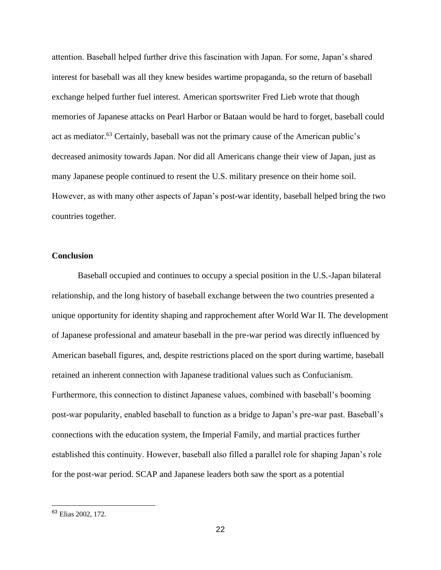attention. Baseball helped further drive this fascination with Japan. For some, Japan's shared interest for baseball was all they knew besides wartime propaganda, so the return of baseball exchange helped further fuel interest. American sportswriter Fred Lieb wrote that though memories of Japanese attacks on Pearl Harbor or Bataan would be hard to forget, baseball could act as mediator.<sup>63</sup> Certainly, baseball was not the primary cause of the American public's decreased animosity towards Japan. Nor did all Americans change their view of Japan, just as many Japanese people continued to resent the U.S. military presence on their home soil. However, as with many other aspects of Japan's post-war identity, baseball helped bring the two countries together.

## **Conclusion**

Baseball occupied and continues to occupy a special position in the U.S.-Japan bilateral relationship, and the long history of baseball exchange between the two countries presented a unique opportunity for identity shaping and rapprochement after World War II. The development of Japanese professional and amateur baseball in the pre-war period was directly influenced by American baseball figures, and, despite restrictions placed on the sport during wartime, baseball retained an inherent connection with Japanese traditional values such as Confucianism. Furthermore, this connection to distinct Japanese values, combined with baseball's booming post-war popularity, enabled baseball to function as a bridge to Japan's pre-war past. Baseball's connections with the education system, the Imperial Family, and martial practices further established this continuity. However, baseball also filled a parallel role for shaping Japan's role for the post-war period. SCAP and Japanese leaders both saw the sport as a potential

<sup>63</sup> Elias 2002, 172.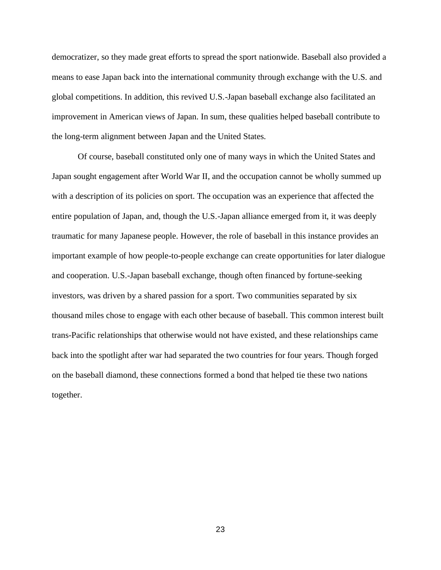democratizer, so they made great efforts to spread the sport nationwide. Baseball also provided a means to ease Japan back into the international community through exchange with the U.S. and global competitions. In addition, this revived U.S.-Japan baseball exchange also facilitated an improvement in American views of Japan. In sum, these qualities helped baseball contribute to the long-term alignment between Japan and the United States.

Of course, baseball constituted only one of many ways in which the United States and Japan sought engagement after World War II, and the occupation cannot be wholly summed up with a description of its policies on sport. The occupation was an experience that affected the entire population of Japan, and, though the U.S.-Japan alliance emerged from it, it was deeply traumatic for many Japanese people. However, the role of baseball in this instance provides an important example of how people-to-people exchange can create opportunities for later dialogue and cooperation. U.S.-Japan baseball exchange, though often financed by fortune-seeking investors, was driven by a shared passion for a sport. Two communities separated by six thousand miles chose to engage with each other because of baseball. This common interest built trans-Pacific relationships that otherwise would not have existed, and these relationships came back into the spotlight after war had separated the two countries for four years. Though forged on the baseball diamond, these connections formed a bond that helped tie these two nations together.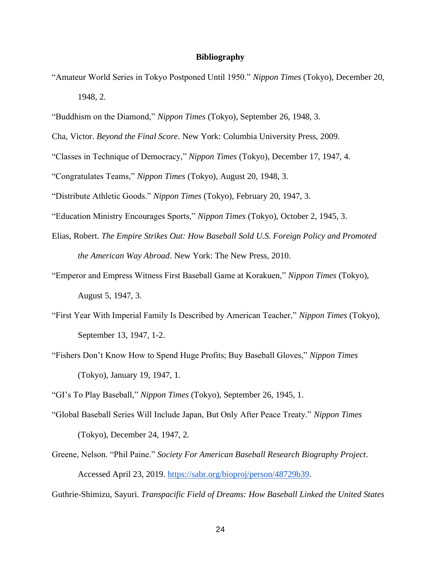## **Bibliography**

- "Amateur World Series in Tokyo Postponed Until 1950." *Nippon Times* (Tokyo), December 20, 1948, 2.
- "Buddhism on the Diamond," *Nippon Times* (Tokyo), September 26, 1948, 3.
- Cha, Victor. *Beyond the Final Score*. New York: Columbia University Press, 2009.
- "Classes in Technique of Democracy," *Nippon Times* (Tokyo), December 17, 1947, 4.
- "Congratulates Teams," *Nippon Times* (Tokyo), August 20, 1948, 3.
- "Distribute Athletic Goods." *Nippon Times* (Tokyo), February 20, 1947, 3.
- "Education Ministry Encourages Sports," *Nippon Times* (Tokyo), October 2, 1945, 3.
- Elias, Robert. *The Empire Strikes Out: How Baseball Sold U.S. Foreign Policy and Promoted the American Way Abroad*. New York: The New Press, 2010.
- "Emperor and Empress Witness First Baseball Game at Korakuen," *Nippon Times* (Tokyo), August 5, 1947, 3.
- "First Year With Imperial Family Is Described by American Teacher," *Nippon Times* (Tokyo), September 13, 1947, 1-2.
- "Fishers Don't Know How to Spend Huge Profits; Buy Baseball Gloves," *Nippon Times* (Tokyo), January 19, 1947, 1.
- "GI's To Play Baseball," *Nippon Times* (Tokyo), September 26, 1945, 1.
- "Global Baseball Series Will Include Japan, But Only After Peace Treaty." *Nippon Times* (Tokyo), December 24, 1947, 2.
- Greene, Nelson. "Phil Paine." *Society For American Baseball Research Biography Project*. Accessed April 23, 2019. [https://sabr.org/bioproj/person/48729b39.](https://sabr.org/bioproj/person/48729b39)

Guthrie-Shimizu, Sayuri. *Transpacific Field of Dreams: How Baseball Linked the United States*